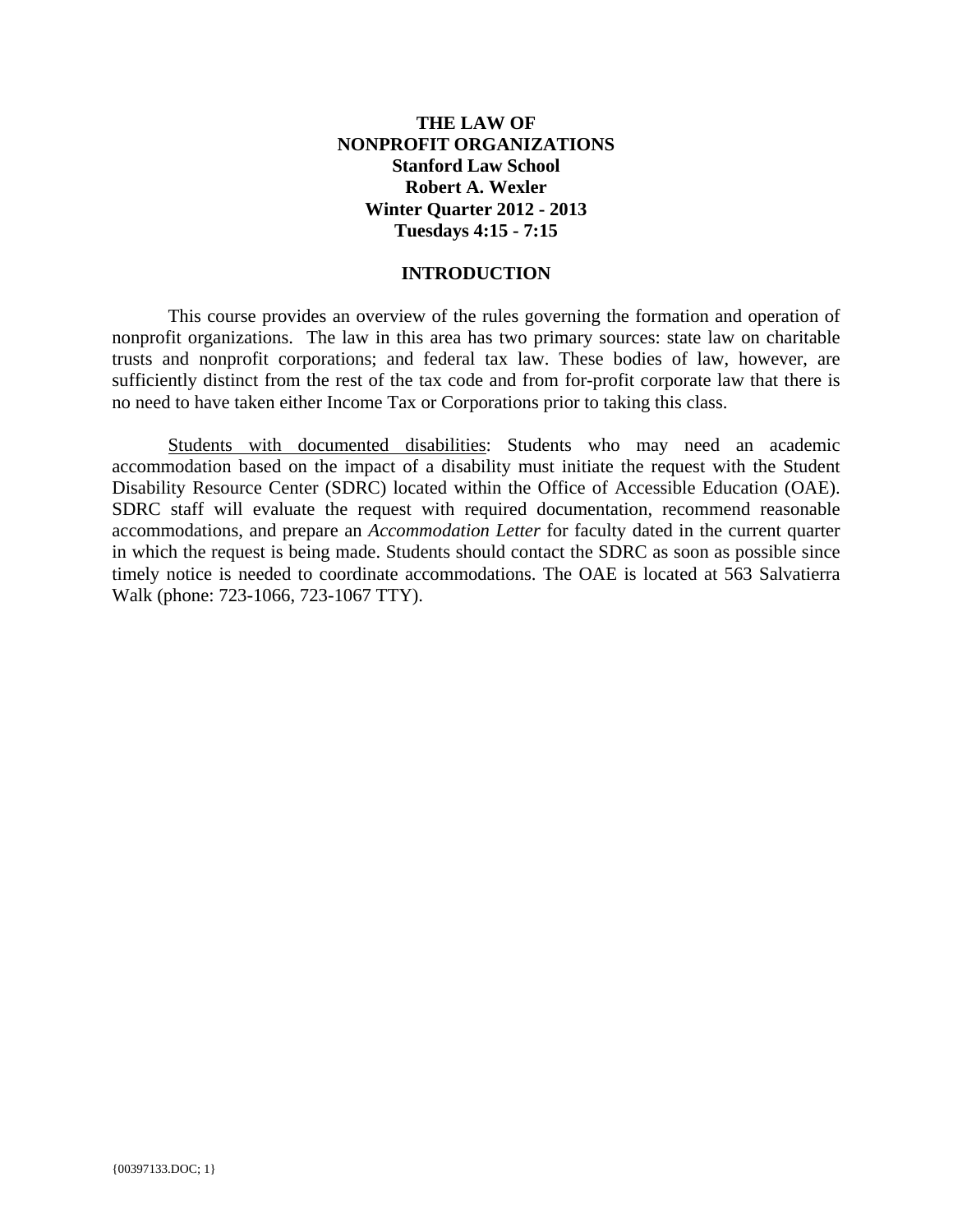# **THE LAW OF NONPROFIT ORGANIZATIONS Stanford Law School Robert A. Wexler Winter Quarter 2012 - 2013 Tuesdays 4:15 - 7:15**

## **INTRODUCTION**

This course provides an overview of the rules governing the formation and operation of nonprofit organizations. The law in this area has two primary sources: state law on charitable trusts and nonprofit corporations; and federal tax law. These bodies of law, however, are sufficiently distinct from the rest of the tax code and from for-profit corporate law that there is no need to have taken either Income Tax or Corporations prior to taking this class.

Students with documented disabilities: Students who may need an academic accommodation based on the impact of a disability must initiate the request with the Student Disability Resource Center (SDRC) located within the Office of Accessible Education (OAE). SDRC staff will evaluate the request with required documentation, recommend reasonable accommodations, and prepare an *Accommodation Letter* for faculty dated in the current quarter in which the request is being made. Students should contact the SDRC as soon as possible since timely notice is needed to coordinate accommodations. The OAE is located at 563 Salvatierra Walk (phone: 723-1066, 723-1067 TTY).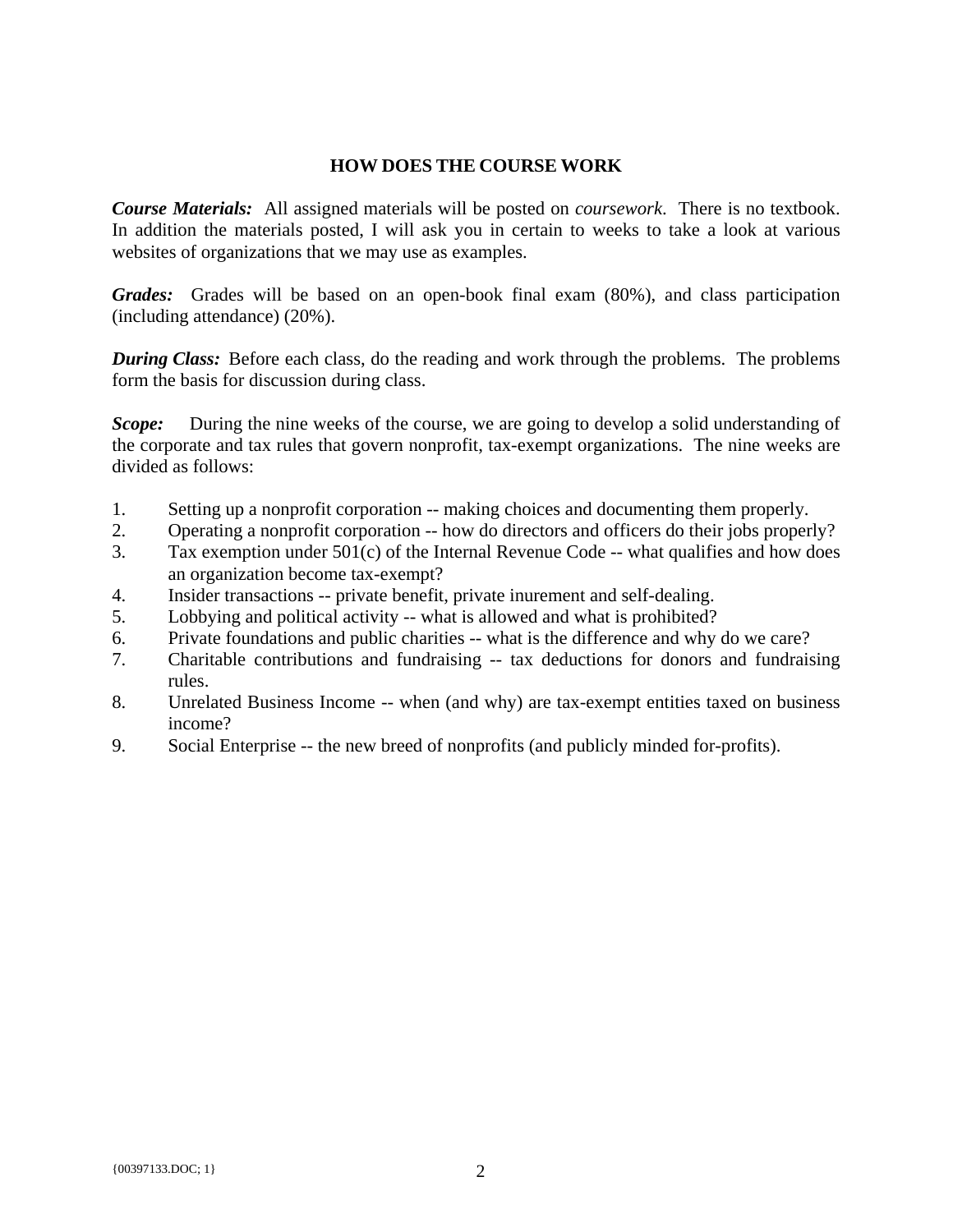## **HOW DOES THE COURSE WORK**

*Course Materials:* All assigned materials will be posted on *coursework*. There is no textbook. In addition the materials posted, I will ask you in certain to weeks to take a look at various websites of organizations that we may use as examples.

*Grades:* Grades will be based on an open-book final exam (80%), and class participation (including attendance) (20%).

**During Class:** Before each class, do the reading and work through the problems. The problems form the basis for discussion during class.

*Scope:* During the nine weeks of the course, we are going to develop a solid understanding of the corporate and tax rules that govern nonprofit, tax-exempt organizations. The nine weeks are divided as follows:

- 1. Setting up a nonprofit corporation -- making choices and documenting them properly.
- 2. Operating a nonprofit corporation -- how do directors and officers do their jobs properly?
- 3. Tax exemption under 501(c) of the Internal Revenue Code -- what qualifies and how does an organization become tax-exempt?
- 4. Insider transactions -- private benefit, private inurement and self-dealing.
- 5. Lobbying and political activity -- what is allowed and what is prohibited?
- 6. Private foundations and public charities -- what is the difference and why do we care?
- 7. Charitable contributions and fundraising -- tax deductions for donors and fundraising rules.
- 8. Unrelated Business Income -- when (and why) are tax-exempt entities taxed on business income?
- 9. Social Enterprise -- the new breed of nonprofits (and publicly minded for-profits).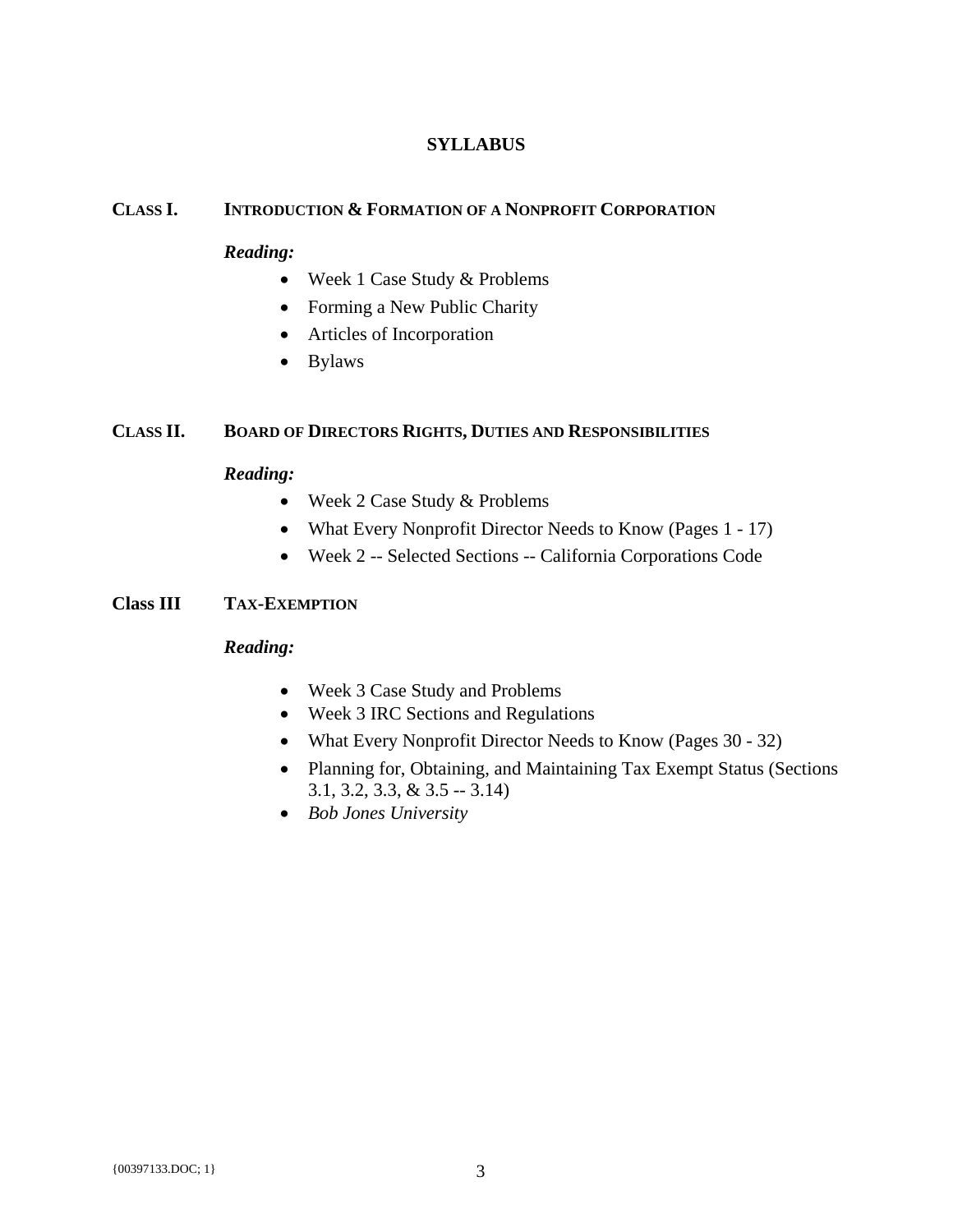# **SYLLABUS**

#### **CLASS I. INTRODUCTION & FORMATION OF A NONPROFIT CORPORATION**

#### *Reading:*

- Week 1 Case Study & Problems
- Forming a New Public Charity
- Articles of Incorporation
- Bylaws

# **CLASS II. BOARD OF DIRECTORS RIGHTS, DUTIES AND RESPONSIBILITIES**

#### *Reading:*

- Week 2 Case Study & Problems
- What Every Nonprofit Director Needs to Know (Pages 1 17)
- Week 2 -- Selected Sections -- California Corporations Code

#### **Class III TAX-EXEMPTION**

#### *Reading:*

- Week 3 Case Study and Problems
- Week 3 IRC Sections and Regulations
- What Every Nonprofit Director Needs to Know (Pages 30 32)
- Planning for, Obtaining, and Maintaining Tax Exempt Status (Sections 3.1, 3.2, 3.3, & 3.5 -- 3.14)
- *Bob Jones University*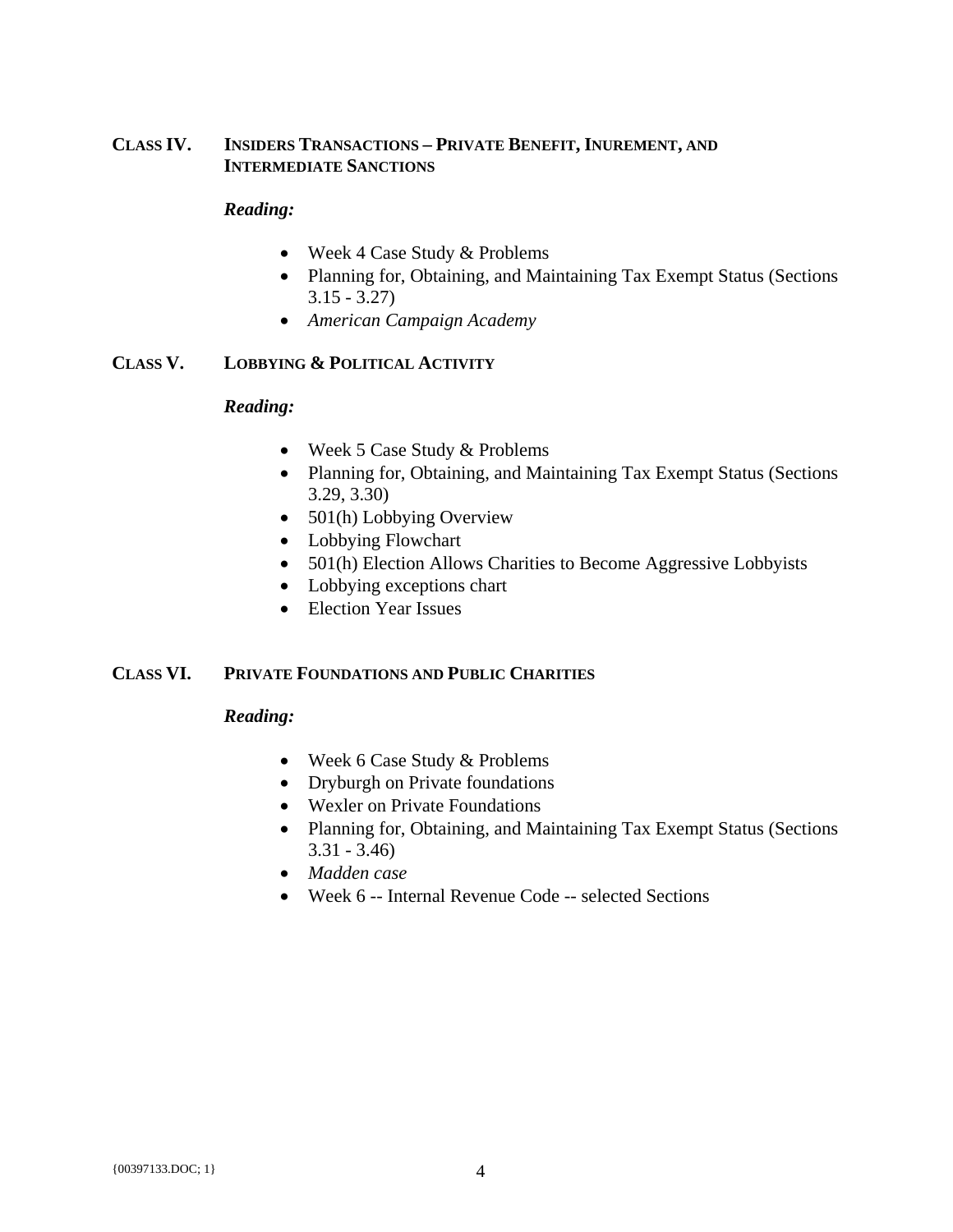# **CLASS IV. INSIDERS TRANSACTIONS – PRIVATE BENEFIT, INUREMENT, AND INTERMEDIATE SANCTIONS**

### *Reading:*

- Week 4 Case Study & Problems
- Planning for, Obtaining, and Maintaining Tax Exempt Status (Sections  $3.15 - 3.27$
- *American Campaign Academy*

# **CLASS V. LOBBYING & POLITICAL ACTIVITY**

#### *Reading:*

- Week 5 Case Study & Problems
- Planning for, Obtaining, and Maintaining Tax Exempt Status (Sections 3.29, 3.30)
- 501(h) Lobbying Overview
- Lobbying Flowchart
- 501(h) Election Allows Charities to Become Aggressive Lobbyists
- Lobbying exceptions chart
- Election Year Issues

## **CLASS VI. PRIVATE FOUNDATIONS AND PUBLIC CHARITIES**

## *Reading:*

- Week 6 Case Study & Problems
- Dryburgh on Private foundations
- Wexler on Private Foundations
- Planning for, Obtaining, and Maintaining Tax Exempt Status (Sections 3.31 - 3.46)
- *Madden case*
- Week 6 -- Internal Revenue Code -- selected Sections